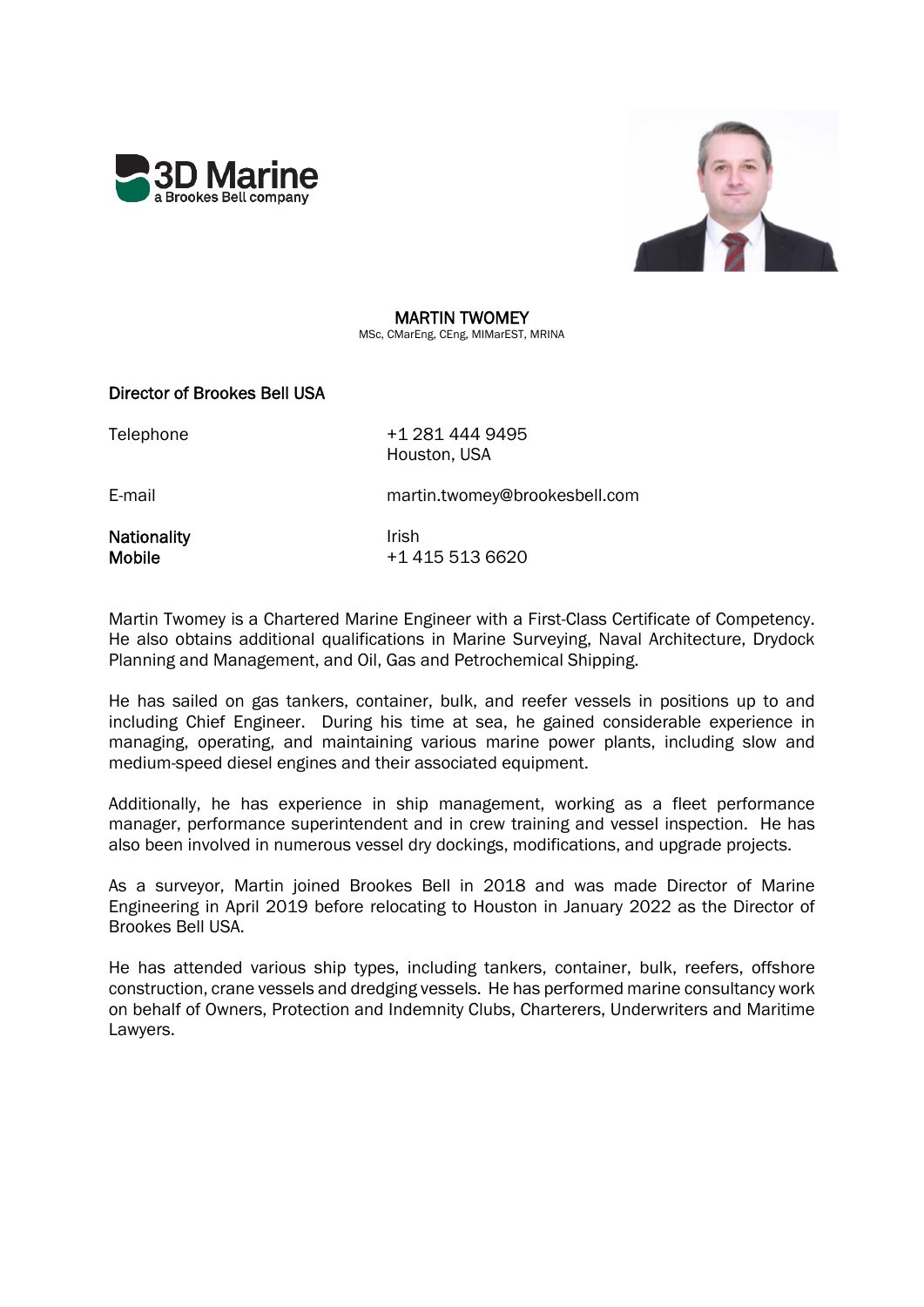



# MARTIN TWOMEY

MSc, CMarEng, CEng, MIMarEST, MRINA

# Director of Brookes Bell USA

Telephone +1 281 444 9495 Houston, USA

E-mail martin.twomey@brookesbell.com

Nationality **Irish** Irish

Mobile +1 415 513 6620

Martin Twomey is a Chartered Marine Engineer with a First-Class Certificate of Competency. He also obtains additional qualifications in Marine Surveying, Naval Architecture, Drydock Planning and Management, and Oil, Gas and Petrochemical Shipping.

He has sailed on gas tankers, container, bulk, and reefer vessels in positions up to and including Chief Engineer. During his time at sea, he gained considerable experience in managing, operating, and maintaining various marine power plants, including slow and medium-speed diesel engines and their associated equipment.

Additionally, he has experience in ship management, working as a fleet performance manager, performance superintendent and in crew training and vessel inspection. He has also been involved in numerous vessel dry dockings, modifications, and upgrade projects.

As a surveyor, Martin joined Brookes Bell in 2018 and was made Director of Marine Engineering in April 2019 before relocating to Houston in January 2022 as the Director of Brookes Bell USA.

He has attended various ship types, including tankers, container, bulk, reefers, offshore construction, crane vessels and dredging vessels. He has performed marine consultancy work on behalf of Owners, Protection and Indemnity Clubs, Charterers, Underwriters and Maritime Lawyers.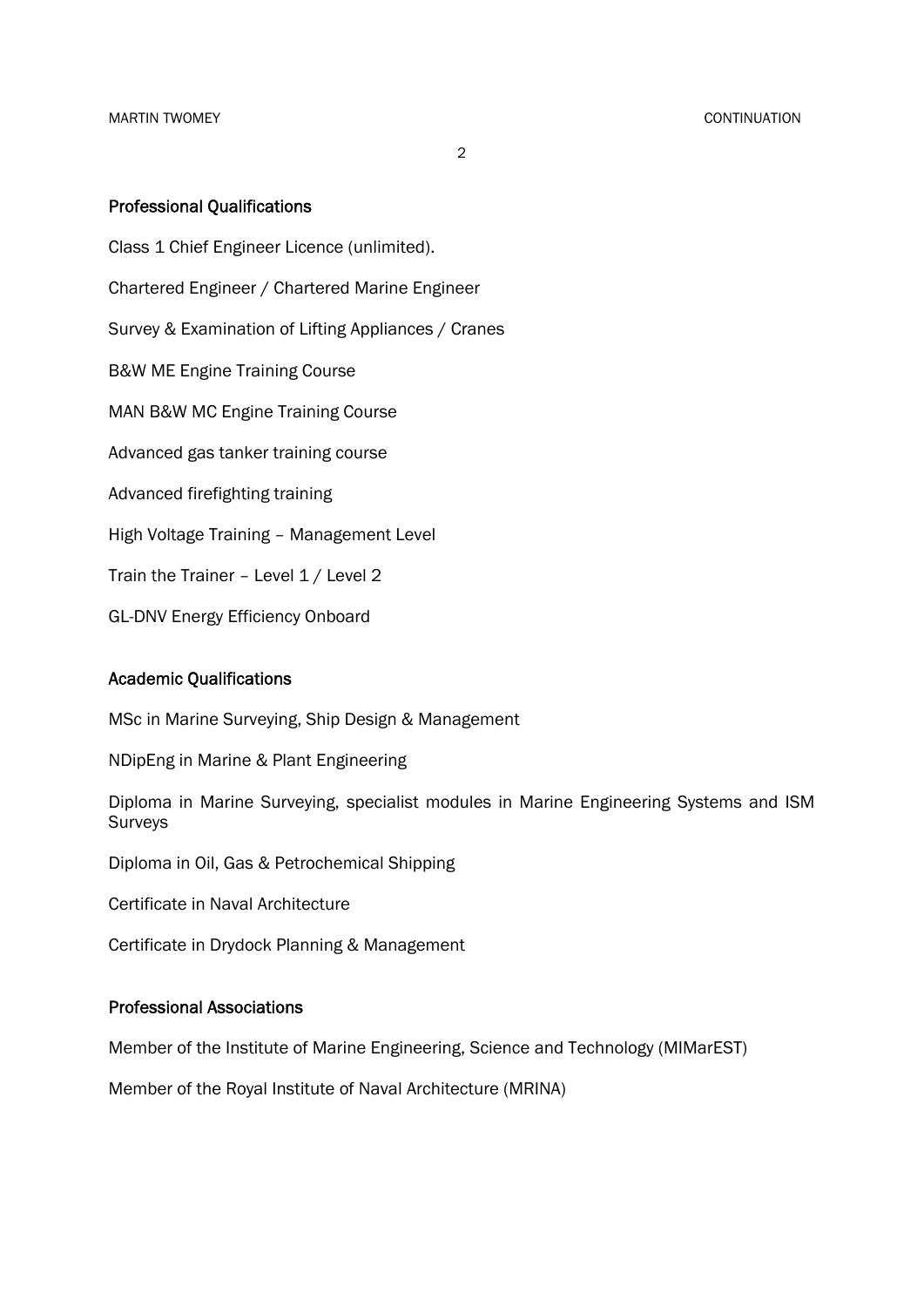MARTIN TWOMEY CONTINUATION

2

### Professional Qualifications

Class 1 Chief Engineer Licence (unlimited). Chartered Engineer / Chartered Marine Engineer Survey & Examination of Lifting Appliances / Cranes B&W ME Engine Training Course MAN B&W MC Engine Training Course Advanced gas tanker training course Advanced firefighting training High Voltage Training – Management Level Train the Trainer - Level 1 / Level 2

GL-DNV Energy Efficiency Onboard

## Academic Qualifications

MSc in Marine Surveying, Ship Design & Management

NDipEng in Marine & Plant Engineering

Diploma in Marine Surveying, specialist modules in Marine Engineering Systems and ISM Surveys

Diploma in Oil, Gas & Petrochemical Shipping

Certificate in Naval Architecture

Certificate in Drydock Planning & Management

#### Professional Associations

Member of the Institute of Marine Engineering, Science and Technology (MIMarEST)

Member of the Royal Institute of Naval Architecture (MRINA)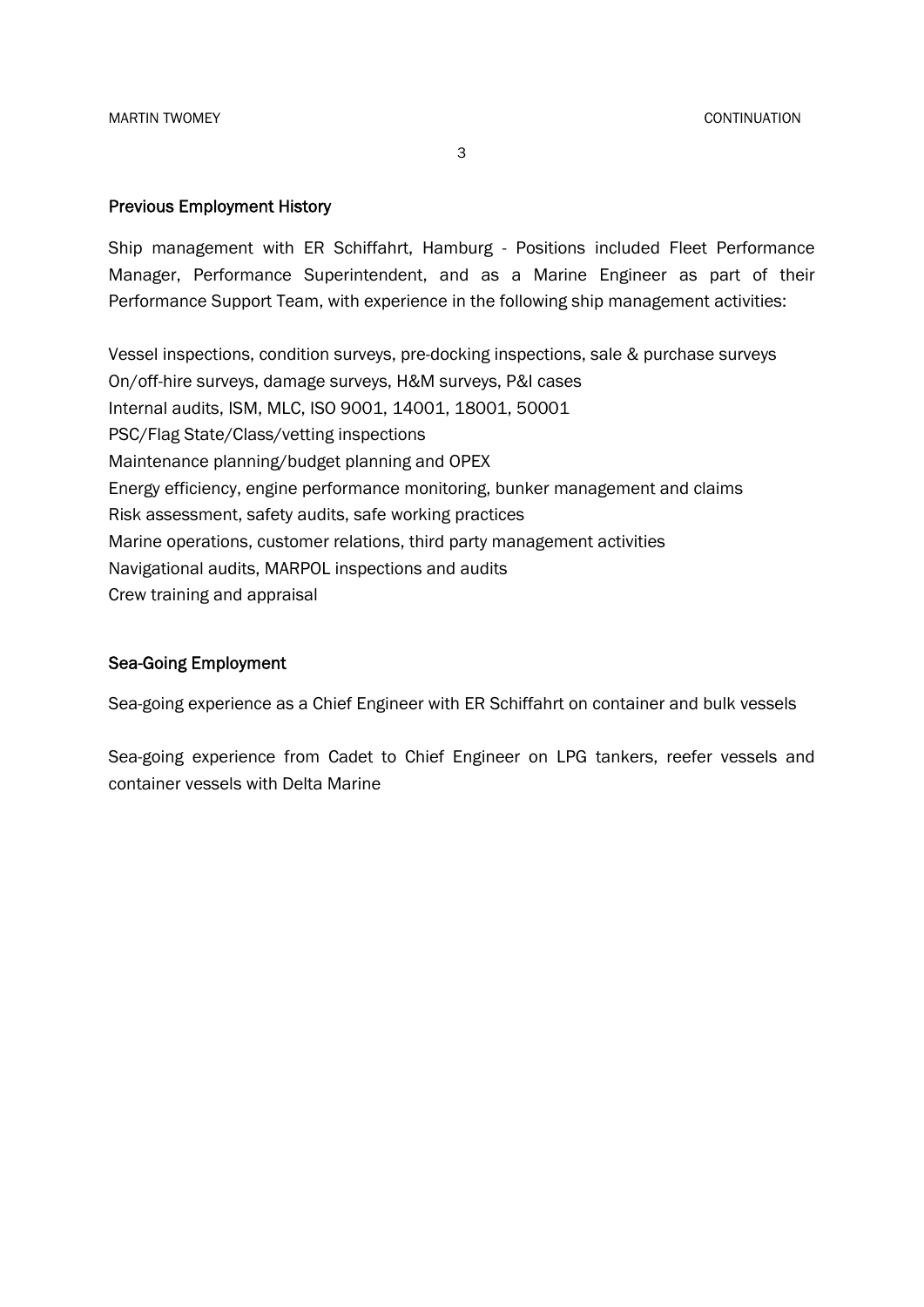3

#### Previous Employment History

Ship management with ER Schiffahrt, Hamburg - Positions included Fleet Performance Manager, Performance Superintendent, and as a Marine Engineer as part of their Performance Support Team, with experience in the following ship management activities:

Vessel inspections, condition surveys, pre-docking inspections, sale & purchase surveys On/off-hire surveys, damage surveys, H&M surveys, P&I cases Internal audits, ISM, MLC, ISO 9001, 14001, 18001, 50001 PSC/Flag State/Class/vetting inspections Maintenance planning/budget planning and OPEX Energy efficiency, engine performance monitoring, bunker management and claims Risk assessment, safety audits, safe working practices Marine operations, customer relations, third party management activities Navigational audits, MARPOL inspections and audits Crew training and appraisal

### Sea-Going Employment

Sea-going experience as a Chief Engineer with ER Schiffahrt on container and bulk vessels

Sea-going experience from Cadet to Chief Engineer on LPG tankers, reefer vessels and container vessels with Delta Marine